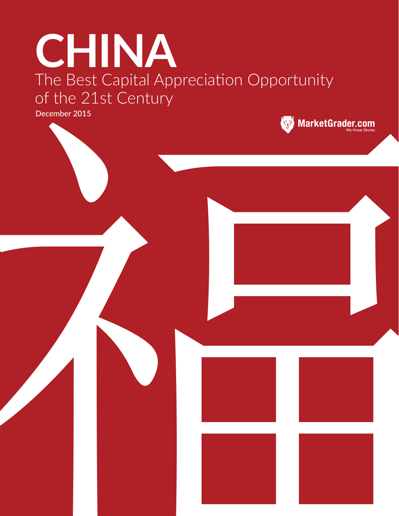# **CHINA** The Best Capital Appreciation Opportunity of the 21st Century 福

December 2015

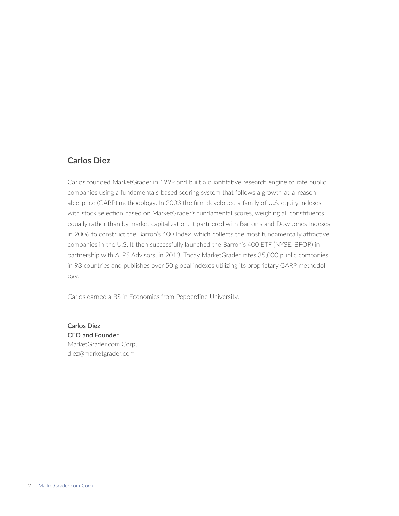# **Carlos Diez**

Carlos founded MarketGrader in 1999 and built a quantitative research engine to rate public companies using a fundamentals-based scoring system that follows a growth-at-a-reasonable-price (GARP) methodology. In 2003 the firm developed a family of U.S. equity indexes, with stock selection based on MarketGrader's fundamental scores, weighing all constituents equally rather than by market capitalization. It partnered with Barron's and Dow Jones Indexes in 2006 to construct the Barron's 400 Index, which collects the most fundamentally attractive companies in the U.S. It then successfully launched the Barron's 400 ETF (NYSE: BFOR) in partnership with ALPS Advisors, in 2013. Today MarketGrader rates 35,000 public companies in 93 countries and publishes over 50 global indexes utilizing its proprietary GARP methodology.

Carlos earned a BS in Economics from Pepperdine University.

**Carlos Diez CEO and Founder** MarketGrader.com Corp. diez@marketgrader.com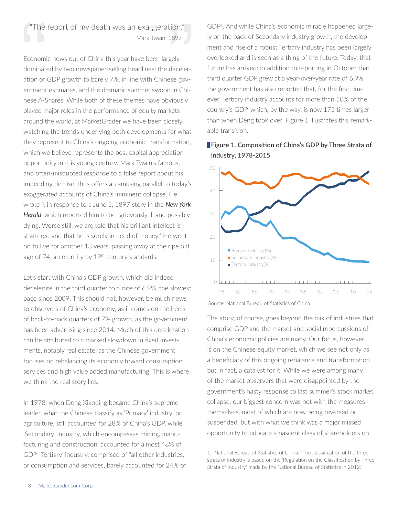# "The report of my death was an exaggeration." Mark Twain, 1897

Economic news out of China this year have been largely dominated by two newspaper-selling headlines: the deceleration of GDP growth to barely 7%, in line with Chinese government estimates, and the dramatic summer swoon in Chinese A-Shares. While both of these themes have obviously played major roles in the performance of equity markets around the world, at MarketGrader we have been closely watching the trends underlying both developments for what they represent to China's ongoing economic transformation, which we believe represents the best capital appreciation opportunity in this young century. Mark Twain's famous, and often-misquoted response to a false report about his impending demise, thus offers an amusing parallel to today's exaggerated accounts of China's imminent collapse. He wrote it in response to a June 1, 1897 story in the *New York Herald*, which reported him to be "grievously ill and possibly dying. Worse still, we are told that his brilliant intellect is shattered and that he is sorely in need of money." He went on to live for another 13 years, passing away at the ripe old age of 74, an eternity by 19<sup>th</sup> century standards. "The report of my death was an exaggeration."<br>Mark Twain, 1897<br>Economic news out of China this year have been largely<br>dominated by two newspaper-selling headlines: the deceler-<br>ation of GDP growth to barely 7%, in line wit

Let's start with China's GDP growth, which did indeed decelerate in the third quarter to a rate of 6.9%, the slowest pace since 2009. This should not, however, be much news to observers of China's economy, as it comes on the heels of back-to-back quarters of 7% growth, as the government has been advertising since 2014. Much of this deceleration can be attributed to a marked slowdown in fixed investments, notably real estate, as the Chinese government focuses on rebalancing its economy toward consumption, services and high value added manufacturing. This is where we think the real story lies.

In 1978, when Deng Xiaoping became China's supreme leader, what the Chinese classify as 'Primary' industry, or agriculture, still accounted for 28% of China's GDP, while 'Secondary' industry, which encompasses mining, manufacturing and construction, accounted for almost 48% of GDP. 'Tertiary' industry, comprised of "all other industries," or consumption and services, barely accounted for 24% of

GDP1. And while China's economic miracle happened largely on the back of Secondary industry growth, the development and rise of a robust Tertiary industry has been largely overlooked and is seen as a thing of the future. Today, that future has arrived: in addition to reporting in October that third quarter GDP grew at a year-over-year rate of 6.9%, the government has also reported that, for the first time ever, Tertiary industry accounts for more than 50% of the country's GDP, which, by the way, is now 175 times larger than when Deng took over. Figure 1 illustrates this remarkable transition.

# **Figure 1. Composition of China's GDP by Three Strata of Industry, 1978-2015**



Source: National Bureau of Statistics of China

0%

The story, of course, goes beyond the mix of industries that comprise GDP and the market and social repercussions of China's economic policies are many. Our focus, however, is on the Chinese equity market, which we see not only as a beneficiary of this ongoing rebalance and transformation but in fact, a catalyst for it. While we were among many of the market observers that were disappointed by the government's hasty response to last summer's stock market -<br>collapse, our biggest concern was not with the measures themselves, most of which are now being reversed or suspended, but with what we think was a major missed opportunity to educate a nascent class of shareholders on

<sup>1.</sup> National Bureau of Statistics of China. "The classification of the three strata of industry is based on the 'Regulation on the Classification by Three Strata of Industry' made by the National Bureau of Statistics in 2012."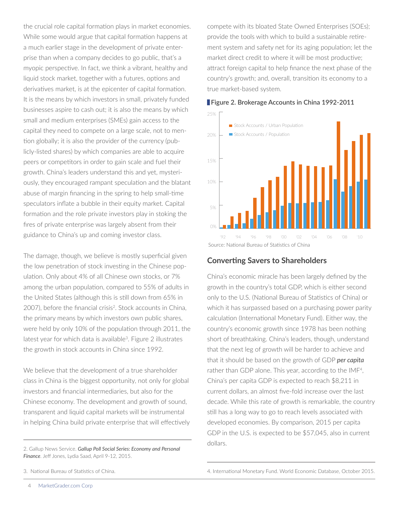the crucial role capital formation plays in market economies. While some would argue that capital formation happens at a much earlier stage in the development of private enterprise than when a company decides to go public, that's a myopic perspective. In fact, we think a vibrant, healthy and liquid stock market, together with a futures, options and derivatives market, is at the epicenter of capital formation. It is the means by which investors in small, privately funded businesses aspire to cash out; it is also the means by which small and medium enterprises (SMEs) gain access to the capital they need to compete on a large scale, not to mention globally; it is also the provider of the currency (publicly-listed shares) by which companies are able to acquire peers or competitors in order to gain scale and fuel their growth. China's leaders understand this and yet, mysteriously, they encouraged rampant speculation and the blatant abuse of margin financing in the spring to help small-time speculators inflate a bubble in their equity market. Capital formation and the role private investors play in stoking the fires of private enterprise was largely absent from their guidance to China's up and coming investor class.

> The damage, though, we believe is mostly superficial given the low penetration of stock investing in the Chinese population. Only about 4% of all Chinese own stocks, or 7% among the urban population, compared to 55% of adults in the United States (although this is still down from 65% in 2007), before the financial crisis2. Stock accounts in China, the primary means by which investors own public shares, were held by only 10% of the population through 2011, the latest year for which data is available<sup>3</sup>. Figure 2 illustrates the growth in stock accounts in China since 1992.

We believe that the development of a true shareholder class in China is the biggest opportunity, not only for global investors and financial intermediaries, but also for the Chinese economy. The development and growth of sound, transparent and liquid capital markets will be instrumental in helping China build private enterprise that will effectively compete with its bloated State Owned Enterprises (SOEs); 20 provide the tools with which to build a sustainable retirement system and safety net for its aging population; let the market direct credit to where it will be most productive; attract foreign capital to help finance the next phase of the country's growth; and, overall, transition its economy to a true market-based system. Secondary Industry (%)



**Figure 2. Brokerage Accounts in China 1992-2011** 

# **Converting Savers to Shareholders**

China's economic miracle has been largely defined by the China growth in the country's total GDP, which is either second only to the U.S. (National Bureau of Statistics of China) or which it has surpassed based on a purchasing power parity calculation (International Monetary Fund). Either way, the 40 Germany country's economic growth since 1978 has been nothing short of breathtaking. China's leaders, though, understand that the next leg of growth will be harder to achieve and that it should be based on the growth of GDP *per capita* rather than GDP alone. This year, according to the IMF<sup>4</sup>, China's per capita GDP is expected to reach \$8,211 in 10 current dollars, an almost five-fold increase over the last decade. While this rate of growth is remarkable, the country still has a long way to go to reach levels associated with developed economies. By comparison, 2015 per capita GDP in the U.S. is expected to be \$57,045, also in current dollars. United States

4. International Monetary Fund. World Economic Database, October 2015.

30000

<sup>2.</sup> Gallup News Service. *Gallup Poll Social Series: Economy and Personal Finance*. Jeff Jones, Lydia Saad, April 9-12, 2015.

<sup>3.</sup> National Bureau of Statistics of China.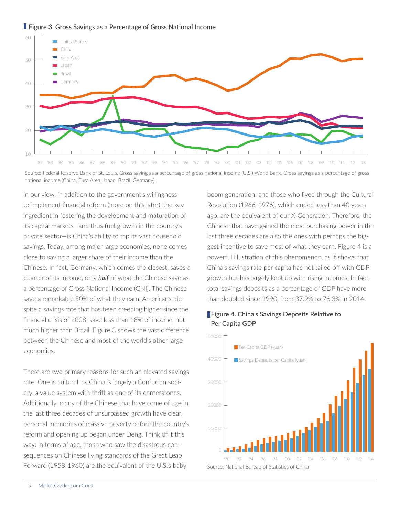



Source: Federal Reserve Bank of St. Louis, Gross saving as a percentage of gross national income (U.S.) World Bank, Gross savings as a percentage of gross national income (China, Euro Area, Japan, Brazil, Germany).

In our view, in addition to the government's willingness to implement financial reform (more on this later), the key ingredient in fostering the development and maturation of its capital markets—and thus fuel growth in the country's private sector-is China's ability to tap its vast household savings. Today, among major large economies, none comes close to saving a larger share of their income than the Chinese. In fact, Germany, which comes the closest, saves a quarter of its income, only *half* of what the Chinese save as a percentage of Gross National Income (GNI). The Chinese save a remarkable 50% of what they earn. Americans, despite a savings rate that has been creeping higher since the financial crisis of 2008, save less than 18% of income, not much higher than Brazil. Figure 3 shows the vast difference between the Chinese and most of the world's other large economies. **Figure 4. China's Savings Deposits Relative to Figure 4. China's Savings Deposits Relative to** 

There are two primary reasons for such an elevated savings rate. One is cultural, as China is largely a Confucian society, a value system with thrift as one of its cornerstones. Additionally, many of the Chinese that have come of age in the last three decades of unsurpassed growth have clear, personal memories of massive poverty before the country's reform and opening up began under Deng. Think of it this way: in terms of age, those who saw the disastrous consequences on Chinese living standards of the Great Leap Forward (1958-1960) are the equivalent of the U.S.'s baby '90 '91 '92 '93 '94 '95 '96 '97 '98 '99 '00 '01 '02 '03 '04 '05 '06 '07 '08 '09 '10 '11 '12 '13 '14 boom generation; and those who lived through the Cultural 60 Revolution (1966-1976), which ended less than 40 years ago, are the equivalent of our X-Generation. Therefore, the Chinese that have gained the most purchasing power in the last three decades are also the ones with perhaps the biggest incentive to save most of what they earn. Figure 4 is a powerful illustration of this phenomenon, as it shows that China's savings rate per capita has not tailed off with GDP growth but has largely kept up with rising incomes. In fact, 20 total savings deposits as a percentage of GDP have more than doubled since 1990, from 37.9% to 76.3% in 2014. a egi Euro Area ration: an

# **Per Capita GDP**

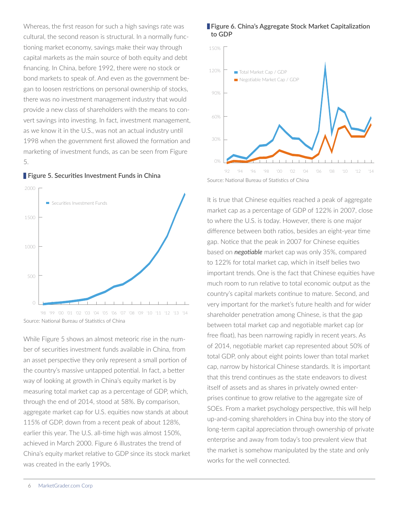Whereas, the first reason for such a high savings rate was cultural, the second reason is structural. In a normally functioning market economy, savings make their way through capital markets as the main source of both equity and debt financing. In China, before 1992, there were no stock or bond markets to speak of. And even as the government began to loosen restrictions on personal ownership of stocks, there was no investment management industry that would provide a new class of shareholders with the means to convert savings into investing. In fact, investment management, as we know it in the U.S., was not an actual industry until 1998 when the government first allowed the formation and 0 marketing of investment funds, as can be seen from Figure 5.





While Figure 5 shows an almost meteoric rise in the number of securities investment funds available in China, from an asset perspective they only represent a small portion of the country's massive untapped potential. In fact, a better way of looking at growth in China's equity market is by 120% measuring total market cap as a percentage of GDP, which, through the end of 2014, stood at 58%. By comparison, aggregate market cap for U.S. equities now stands at about 115% of GDP, down from a recent peak of about 128%, earlier this year. The U.S. all-time high was almost 150%, achieved in March 2000. Figure 6 illustrates the trend of China's equity market relative to GDP since its stock market was created in the early 1990s. Negotiable Market Cap / GDP Total Market Cap / GDP





It is true that Chinese equities reached a peak of aggregate market cap as a percentage of GDP of 122% in 2007, close 100 to where the U.S. is today. However, there is one major difference between both ratios, besides an eight-year time gap. Notice that the peak in 2007 for Chinese equities based on *negotiable* market cap was only 35%, compared to 122% for total market cap, which in itself belies two 60 important trends. One is the fact that Chinese equities have much room to run relative to total economic output as the country's capital markets continue to mature. Second, and very important for the market's future health and for wider shareholder penetration among Chinese, is that the gap between total market cap and negotiable market cap (or 0 free float), has been narrowing rapidly in recent years. As of 2014, negotiable market cap represented about 50% of total GDP, only about eight points lower than total market cap, narrow by historical Chinese standards. It is important that this trend continues as the state endeavors to divest itself of assets and as shares in privately owned enterprises continue to grow relative to the aggregate size of SOEs. From a market psychology perspective, this will help up-and-coming shareholders in China buy into the story of long-term capital appreciation through ownership of private enterprise and away from today's too prevalent view that the market is somehow manipulated by the state and only works for the well connected.

2%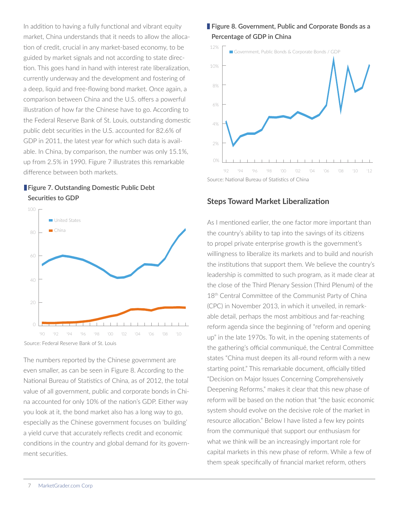In addition to having a fully functional and vibrant equity market, China understands that it needs to allow the allocation of credit, crucial in any market-based economy, to be guided by market signals and not according to state direction. This goes hand in hand with interest rate liberalization, currently underway and the development and fostering of a deep, liquid and free-flowing bond market. Once again, a comparison between China and the U.S. offers a powerful illustration of how far the Chinese have to go. According to the Federal Reserve Bank of St. Louis, outstanding domestic public debt securities in the U.S. accounted for 82.6% of GDP in 2011, the latest year for which such data is available. In China, by comparison, the number was only 15.1%, up from 2.5% in 1990. Figure 7 illustrates this remarkable difference between both markets.

# **Figure 7. Outstanding Domestic Public Debt Securities to GDP**



The numbers reported by the Chinese government are even smaller, as can be seen in Figure 8. According to the National Bureau of Statistics of China, as of 2012, the total value of all government, public and corporate bonds in China accounted for only 10% of the nation's GDP. Either way 10% you look at it, the bond market also has a long way to go, especially as the Chinese government focuses on 'building' 8% a yield curve that accurately reflects credit and economic conditions in the country and global demand for its government securities.

# **Figure 8. Government, Public and Corporate Bonds as a Percentage of GDP in China**



# **Steps Toward Market Liberalization**

As I mentioned earlier, the one factor more important than the country's ability to tap into the savings of its citizens to propel private enterprise growth is the government's 120 willingness to liberalize its markets and to build and nourish the institutions that support them. We believe the country's leadership is committed to such program, as it made clear at the close of the Third Plenary Session (Third Plenum) of the 18<sup>th</sup> Central Committee of the Communist Party of China (CPC) in November 2013, in which it unveiled, in remarkable detail, perhaps the most ambitious and far-reaching reform agenda since the beginning of "reform and opening up" in the late 1970s. To wit, in the opening statements of the gathering's official communiqué, the Central Committee states "China must deepen its all-round reform with a new starting point." This remarkable document, officially titled "Decision on Major Issues Concerning Comprehensively 300 Deepening Reforms," makes it clear that this new phase of reform will be based on the notion that "the basic economic system should evolve on the decisive role of the market in resource allocation." Below I have listed a few key points from the communiqué that support our enthusiasm for what we think will be an increasingly important role for capital markets in this new phase of reform. While a few of 100 them speak specifically of financial market reform, others  $\mathsf{in} \sigma$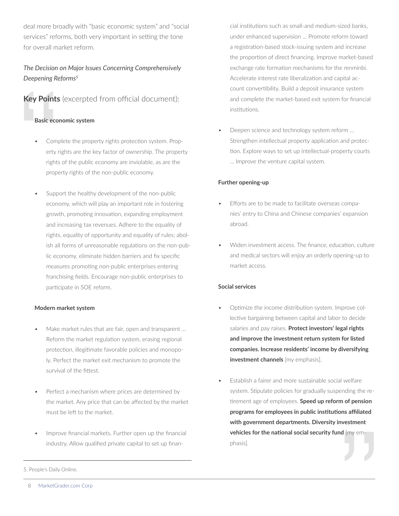deal more broadly with "basic economic system" and "social services" reforms, both very important in setting the tone for overall market reform.

# *The Decision on Major Issues Concerning Comprehensively Deepening Reforms5*

# **Key Points** (excerpted from official document):

#### **Basic economic system**

- Complete the property rights protection system. Property rights are the key factor of ownership. The property rights of the public economy are inviolable, as are the property rights of the non-public economy. Key Points (<br>Basic econd<br>• Complety rights of<br>proper<br>• Suppor<br>econdrights of
	- Support the healthy development of the non-public economy, which will play an important role in fostering growth, promoting innovation, expanding employment and increasing tax revenues. Adhere to the equality of rights, equality of opportunity and equality of rules; abolish all forms of unreasonable regulations on the non-public economy, eliminate hidden barriers and fix specific measures promoting non-public enterprises entering franchising fields. Encourage non-public enterprises to participate in SOE reform.

#### **Modern market system**

- Make market rules that are fair, open and transparent ... Reform the market regulation system, erasing regional protection, illegitimate favorable policies and monopoly. Perfect the market exit mechanism to promote the survival of the fittest.
- Perfect a mechanism where prices are determined by the market. Any price that can be affected by the market must be left to the market.
- Improve financial markets. Further open up the financial industry. Allow qualified private capital to set up finan-

cial institutions such as small-and medium-sized banks, under enhanced supervision … Promote reform toward a registration-based stock-issuing system and increase the proportion of direct financing. Improve market-based exchange rate formation mechanisms for the renminbi. Accelerate interest rate liberalization and capital account convertibility. Build a deposit insurance system and complete the market-based exit system for financial institutions.

• Deepen science and technology system reform … Strengthen intellectual property application and protection. Explore ways to set up intellectual-property courts … Improve the venture capital system.

#### **Further opening-up**

- Efforts are to be made to facilitate overseas companies' entry to China and Chinese companies' expansion abroad.
- Widen investment access. The finance, education, culture and medical sectors will enjoy an orderly opening-up to market access.

#### **Social services**

- Optimize the income distribution system. Improve collective bargaining between capital and labor to decide salaries and pay raises. **Protect investors' legal rights and improve the investment return system for listed companies. Increase residents' income by diversifying investment channels** [my emphasis].
- Establish a fairer and more sustainable social welfare system. Stipulate policies for gradually suspending the retirement age of employees. **Speed up reform of pension programs for employees in public institutions affiliated with government departments. Diversity investment vehicles for the national social security fund** [my emphasis].  $\blacksquare$

<sup>5.</sup> People's Daily Online.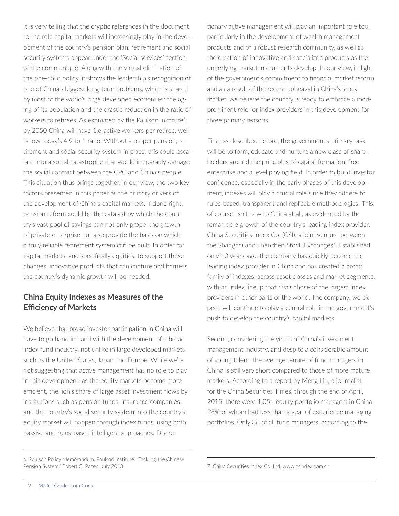It is very telling that the cryptic references in the document to the role capital markets will increasingly play in the development of the country's pension plan, retirement and social security systems appear under the 'Social services' section of the communiqué. Along with the virtual elimination of the one-child policy, it shows the leadership's recognition of one of China's biggest long-term problems, which is shared by most of the world's large developed economies: the aging of its population and the drastic reduction in the ratio of workers to retirees. As estimated by the Paulson Institute<sup>6</sup>, by 2050 China will have 1.6 active workers per retiree, well below today's 4.9 to 1 ratio. Without a proper pension, retirement and social security system in place, this could escalate into a social catastrophe that would irreparably damage the social contract between the CPC and China's people. This situation thus brings together, in our view, the two key factors presented in this paper as the primary drivers of the development of China's capital markets. If done right, pension reform could be the catalyst by which the country's vast pool of savings can not only propel the growth of private enterprise but also provide the basis on which a truly reliable retirement system can be built. In order for capital markets, and specifically equities, to support these changes, innovative products that can capture and harness the country's dynamic growth will be needed.

# **China Equity Indexes as Measures of the Efficiency of Markets**

We believe that broad investor participation in China will have to go hand in hand with the development of a broad index fund industry, not unlike in large developed markets such as the United States, Japan and Europe. While we're not suggesting that active management has no role to play in this development, as the equity markets become more efficient, the lion's share of large asset investment flows by institutions such as pension funds, insurance companies and the country's social security system into the country's equity market will happen through index funds, using both passive and rules-based intelligent approaches. Discre-

tionary active management will play an important role too, particularly in the development of wealth management products and of a robust research community, as well as the creation of innovative and specialized products as the underlying market instruments develop. In our view, in light of the government's commitment to financial market reform and as a result of the recent upheaval in China's stock market, we believe the country is ready to embrace a more prominent role for index providers in this development for three primary reasons.

First, as described before, the government's primary task will be to form, educate and nurture a new class of shareholders around the principles of capital formation, free enterprise and a level playing field. In order to build investor confidence, especially in the early phases of this development, indexes will play a crucial role since they adhere to rules-based, transparent and replicable methodologies. This, of course, isn't new to China at all, as evidenced by the remarkable growth of the country's leading index provider, China Securities Index Co. (CSI), a joint venture between the Shanghai and Shenzhen Stock Exchanges7. Established only 10 years ago, the company has quickly become the leading index provider in China and has created a broad family of indexes, across asset classes and market segments, with an index lineup that rivals those of the largest index providers in other parts of the world. The company, we expect, will continue to play a central role in the government's push to develop the country's capital markets.

Second, considering the youth of China's investment management industry, and despite a considerable amount of young talent, the average tenure of fund managers in China is still very short compared to those of more mature markets. According to a report by Meng Liu, a journalist for the China Securities Times, through the end of April, 2015, there were 1,051 equity portfolio managers in China, 28% of whom had less than a year of experience managing portfolios. Only 36 of all fund managers, according to the

<sup>6.</sup> Paulson Policy Memorandum. Paulson Institute. "Tackling the Chinese Pension System." Robert C. Pozen. July 2013

<sup>7.</sup> China Securities Index Co. Ltd. www.csindex.com.cn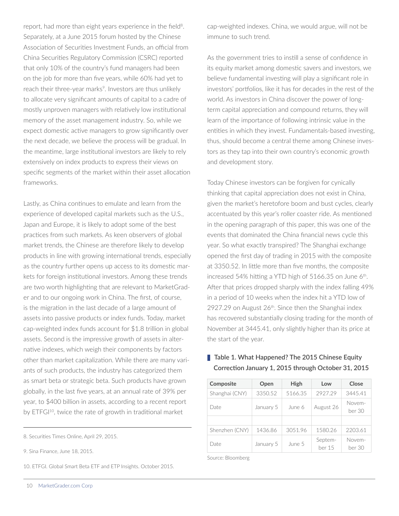report, had more than eight years experience in the field<sup>8</sup>. Separately, at a June 2015 forum hosted by the Chinese Association of Securities Investment Funds, an official from China Securities Regulatory Commission (CSRC) reported that only 10% of the country's fund managers had been on the job for more than five years, while 60% had yet to reach their three-year marks<sup>9</sup>. Investors are thus unlikely to allocate very significant amounts of capital to a cadre of mostly unproven managers with relatively low institutional memory of the asset management industry. So, while we expect domestic active managers to grow significantly over the next decade, we believe the process will be gradual. In the meantime, large institutional investors are likely to rely extensively on index products to express their views on specific segments of the market within their asset allocation frameworks.

Lastly, as China continues to emulate and learn from the experience of developed capital markets such as the U.S., Japan and Europe, it is likely to adopt some of the best practices from such markets. As keen observers of global market trends, the Chinese are therefore likely to develop products in line with growing international trends, especially as the country further opens up access to its domestic markets for foreign institutional investors. Among these trends are two worth highlighting that are relevant to MarketGrader and to our ongoing work in China. The first, of course, is the migration in the last decade of a large amount of assets into passive products or index funds. Today, market cap-weighted index funds account for \$1.8 trillion in global assets. Second is the impressive growth of assets in alternative indexes, which weigh their components by factors other than market capitalization. While there are many variants of such products, the industry has categorized them as smart beta or strategic beta. Such products have grown globally, in the last five years, at an annual rate of 39% per year, to \$400 billion in assets, according to a recent report by ETFGI<sup>10</sup>, twice the rate of growth in traditional market

9. Sina Finance, June 18, 2015.

10. ETFGI. Global Smart Beta ETF and ETP Insights. October 2015.

cap-weighted indexes. China, we would argue, will not be immune to such trend.

As the government tries to instill a sense of confidence in its equity market among domestic savers and investors, we believe fundamental investing will play a significant role in investors' portfolios, like it has for decades in the rest of the world. As investors in China discover the power of longterm capital appreciation and compound returns, they will learn of the importance of following intrinsic value in the entities in which they invest. Fundamentals-based investing, thus, should become a central theme among Chinese investors as they tap into their own country's economic growth and development story.

Today Chinese investors can be forgiven for cynically thinking that capital appreciation does not exist in China, given the market's heretofore boom and bust cycles, clearly accentuated by this year's roller coaster ride. As mentioned in the opening paragraph of this paper, this was one of the events that dominated the China financial news cycle this year. So what exactly transpired? The Shanghai exchange opened the first day of trading in 2015 with the composite at 3350.52. In little more than five months, the composite increased 54% hitting a YTD high of 5166.35 on June 6<sup>th</sup>. After that prices dropped sharply with the index falling 49% in a period of 10 weeks when the index hit a YTD low of 2927.29 on August 26<sup>th</sup>. Since then the Shanghai index has recovered substantially closing trading for the month of November at 3445.41, only slightly higher than its price at the start of the year.

# **Table 1. What Happened? The 2015 Chinese Equity Correction January 1, 2015 through October 31, 2015**

| Composite      | Open      | <b>High</b> | Low               | Close            |
|----------------|-----------|-------------|-------------------|------------------|
| Shanghai (CNY) | 3350.52   | 5166.35     | 2927.29           | 3445.41          |
| Date           | January 5 | June 6      | August 26         | Novem-<br>ber 30 |
|                |           |             |                   |                  |
| Shenzhen (CNY) | 1436.86   | 3051.96     | 1580.26           | 2203.61          |
| Date           | January 5 | June 5      | Septem-<br>ber 15 | Novem-<br>ber 30 |

Source: Bloomberg

<sup>8.</sup> Securities Times Online, April 29, 2015.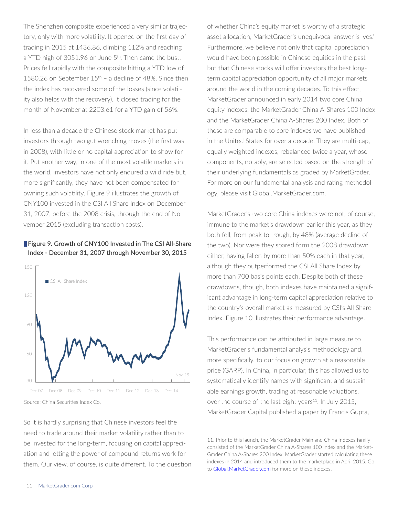The Shenzhen composite experienced a very similar trajectory, only with more volatility. It opened on the first day of trading in 2015 at 1436.86, climbing 112% and reaching 0 a YTD high of 3051.96 on June 5<sup>th</sup>. Then came the bust. Prices fell rapidly with the composite hitting a YTD low of 1580.26 on September  $15<sup>th</sup>$  – a decline of 48%. Since then the index has recovered some of the losses (since volatility also helps with the recovery). It closed trading for the month of November at 2203.61 for a YTD gain of 56%. '90 '92 '94 '96 '98 '00 '02 '04 '06 '08 '10

In less than a decade the Chinese stock market has put investors through two gut wrenching moves (the first was in 2008), with little or no capital appreciation to show for it. Put another way, in one of the most volatile markets in the world, investors have not only endured a wild ride but, more significantly, they have not been compensated for owning such volatility. Figure 9 illustrates the growth of CNY100 invested in the CSI All Share Index on December 31, 2007, before the 2008 crisis, through the end of November 2015 (excluding transaction costs).

#### **Figure 9. Growth of CNY100 Invested in The CSI All-Share Index - December 31, 2007 through November 30, 2015**



Source: China Securities Index Co.

So it is hardly surprising that Chinese investors feel the need to trade around their market volatility rather than to be invested for the long-term, focusing on capital appreciation and letting the power of compound returns work for them. Our view, of course, is quite different. To the question MG China A 100

of whether China's equity market is worthy of a strategic asset allocation, MarketGrader's unequivocal answer is 'yes.' Furthermore, we believe not only that capital appreciation would have been possible in Chinese equities in the past but that Chinese stocks will offer investors the best longterm capital appreciation opportunity of all major markets around the world in the coming decades. To this effect, MarketGrader announced in early 2014 two core China equity indexes, the MarketGrader China A-Shares 100 Index and the MarketGrader China A-Shares 200 Index. Both of these are comparable to core indexes we have published in the United States for over a decade. They are multi-cap, equally weighted indexes, rebalanced twice a year, whose components, notably, are selected based on the strength of their underlying fundamentals as graded by MarketGrader. For more on our fundamental analysis and rating methodology, please visit Global.MarketGrader.com.

MarketGrader's two core China indexes were not, of course, immune to the market's drawdown earlier this year, as they both fell, from peak to trough, by 48% (average decline of the two). Nor were they spared form the 2008 drawdown either, having fallen by more than 50% each in that year, although they outperformed the CSI All Share Index by more than 700 basis points each. Despite both of these drawdowns, though, both indexes have maintained a significant advantage in long-term capital appreciation relative to the country's overall market as measured by CSI's All Share Index. Figure 10 illustrates their performance advantage.

This performance can be attributed in large measure to MarketGrader's fundamental analysis methodology and, more specifically, to our focus on growth at a reasonable price (GARP). In China, in particular, this has allowed us to systematically identify names with significant and sustainable earnings growth, trading at reasonable valuations, over the course of the last eight years<sup>11</sup>. In July 2015, MarketGrader Capital published a paper by Francis Gupta,

<sup>11.</sup> Prior to this launch, the MarketGrader Mainland China Indexes family consisted of the MarketGrader China A-Shares 100 Index and the Market-Grader China A-Shares 200 Index. MarketGrader started calculating these indexes in 2014 and introduced them to the marketplace in April 2015. Go to Global.MarketGrader.com for more on these indexes.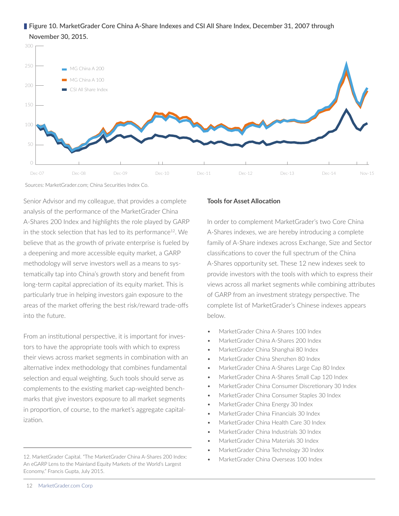### **Figure 10. MarketGrader Core China A-Share Indexes and CSI All Share Index, December 31, 2007 through November 30, 2015.**



Sources: MarketGrader.com; China Securities Index Co.

Senior Advisor and my colleague, that provides a complete analysis of the performance of the MarketGrader China A-Shares 200 Index and highlights the role played by GARP in the stock selection that has led to its performance<sup>12</sup>. We believe that as the growth of private enterprise is fueled by a deepening and more accessible equity market, a GARP methodology will serve investors well as a means to systematically tap into China's growth story and benefit from long-term capital appreciation of its equity market. This is particularly true in helping investors gain exposure to the areas of the market offering the best risk/reward trade-offs into the future.

From an institutional perspective, it is important for investors to have the appropriate tools with which to express their views across market segments in combination with an alternative index methodology that combines fundamental selection and equal weighting. Such tools should serve as complements to the existing market cap-weighted benchmarks that give investors exposure to all market segments in proportion, of course, to the market's aggregate capitalization.

#### **Tools for Asset Allocation**

In order to complement MarketGrader's two Core China A-Shares indexes, we are hereby introducing a complete family of A-Share indexes across Exchange, Size and Sector classifications to cover the full spectrum of the China A-Shares opportunity set. These 12 new indexes seek to provide investors with the tools with which to express their views across all market segments while combining attributes of GARP from an investment strategy perspective. The complete list of MarketGrader's Chinese indexes appears below.

- MarketGrader China A-Shares 100 Index
- MarketGrader China A-Shares 200 Index
- MarketGrader China Shanghai 80 Index
- MarketGrader China Shenzhen 80 Index
- MarketGrader China A-Shares Large Cap 80 Index
- MarketGrader China A-Shares Small Cap 120 Index
- MarketGrader China Consumer Discretionary 30 Index
- MarketGrader China Consumer Staples 30 Index
- MarketGrader China Energy 30 Index
- MarketGrader China Financials 30 Index
- MarketGrader China Health Care 30 Index
- MarketGrader China Industrials 30 Index
- MarketGrader China Materials 30 Index
- MarketGrader China Technology 30 Index
- MarketGrader China Overseas 100 Index

<sup>12.</sup> MarketGrader Capital. "The MarketGrader China A-Shares 200 Index: An eGARP Lens to the Mainland Equity Markets of the World's Largest Economy." Francis Gupta, July 2015.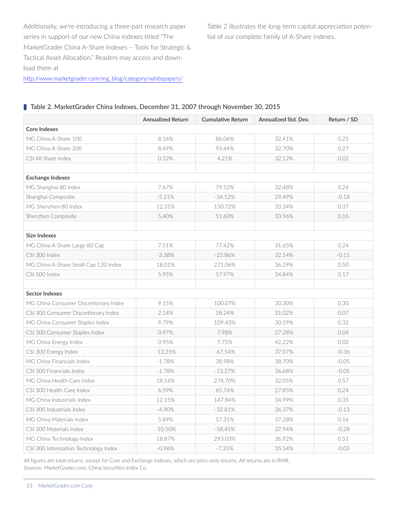Additionally, we're introducing a three-part research paper series in support of our new China indexes titled "The MarketGrader China A-Share Indexes – Tools for Strategic & Tactical Asset Allocation." Readers may access and download them at

Table 2 illustrates the long-term capital appreciation potential of our complete family of A-Share indexes.

|  |  | http://www.marketgrader.com/mg_blog/category/whitepapers/ |  |
|--|--|-----------------------------------------------------------|--|
|  |  |                                                           |  |

|                                       | <b>Annualized Return</b> | <b>Cumulative Return</b> | Annualized Std. Dev. | Return / SD |  |  |  |  |  |
|---------------------------------------|--------------------------|--------------------------|----------------------|-------------|--|--|--|--|--|
| <b>Core Indexes</b>                   |                          |                          |                      |             |  |  |  |  |  |
| MG China A-Share 100                  | 8.16%                    | 86.06%                   | 32.41%               | 0.25        |  |  |  |  |  |
| MG China A-Share 200                  | 8.69%                    | 93.44%                   | 32.70%               | 0.27        |  |  |  |  |  |
| CSI All Share Index                   | 0.52%                    | 4.21%                    | 32.12%               | 0.02        |  |  |  |  |  |
|                                       |                          |                          |                      |             |  |  |  |  |  |
| <b>Exchange Indexes</b>               |                          |                          |                      |             |  |  |  |  |  |
| MG Shanghai 80 Index                  | 7.67%                    | 79.52%                   | 32.48%               | 0.24        |  |  |  |  |  |
| Shanghai Composite                    | $-5.21%$                 | $-34.52%$                | 29.49%               | $-0.18$     |  |  |  |  |  |
| MG Shenzhen 80 Index                  | 12.31%                   | 150.72%                  | 33.34%               | 0.37        |  |  |  |  |  |
| Shenzhen Composite                    | 5.40%                    | 51.60%                   | 33.96%               | 0.16        |  |  |  |  |  |
|                                       |                          |                          |                      |             |  |  |  |  |  |
| <b>Size Indexes</b>                   |                          |                          |                      |             |  |  |  |  |  |
| MG China A-Share Large 80 Cap         | 7.51%                    | 77.42%                   | 31.65%               | 0.24        |  |  |  |  |  |
| CSI 300 Index                         | $-3.38%$                 | $-23.86%$                | 32.14%               | $-0.11$     |  |  |  |  |  |
| MG China A-Share Small Cap 120 Index  | 18.01%                   | 271.06%                  | 36.29%               | 0.50        |  |  |  |  |  |
| CSI 500 Index                         | 5.95%                    | 57.97%                   | 34.84%               | 0.17        |  |  |  |  |  |
|                                       |                          |                          |                      |             |  |  |  |  |  |
| <b>Sector Indexes</b>                 |                          |                          |                      |             |  |  |  |  |  |
| MG China Consumer Discretionary Index | 9.15%                    | 100.07%                  | 30.30%               | 0.30        |  |  |  |  |  |
| CSI 300 Consumer Discretionary Index  | 2.14%                    | 18.24%                   | 31.02%               | 0.07        |  |  |  |  |  |
| MG China Consumer Staples Index       | 9.79%                    | 109.43%                  | 30.19%               | 0.32        |  |  |  |  |  |
| CSI 300 Consumer Staples Index        | 0.97%                    | 7.98%                    | 27.28%               | 0.04        |  |  |  |  |  |
| MG China Energy Index                 | 0.95%                    | 7.75%                    | 42.22%               | 0.02        |  |  |  |  |  |
| CSI 300 Energy Index                  | $-13.25%$                | $-67.54%$                | 37.07%               | $-0.36$     |  |  |  |  |  |
| MG China Financials Index             | $-1.78%$                 | 38.98%                   | 38.70%               | $-0.05$     |  |  |  |  |  |
| CSI 300 Financials Index              | $-1.78%$                 | $-13.27%$                | 36.68%               | $-0.05$     |  |  |  |  |  |
| MG China Health Care Index            | 18.16%                   | 274.70%                  | 32.05%               | 0.57        |  |  |  |  |  |
| CSI 300 Health Care Index             | 6.59%                    | 65.74%                   | 27.85%               | 0.24        |  |  |  |  |  |
| MG China Industrials Index            | 12.15%                   | 147.84%                  | 34.99%               | 0.35        |  |  |  |  |  |
| CSI 300 Industrials Index             | $-4.90%$                 | $-32.81%$                | 36.37%               | $-0.13$     |  |  |  |  |  |
| MG China Materials Index              | 5.89%                    | 57.31%                   | 37.28%               | 0.16        |  |  |  |  |  |
| CSI 300 Materials Index               | $-10.50%$                | $-58.45%$                | 37.94%               | $-0.28$     |  |  |  |  |  |
| MG China Technology Index             | 18.87%                   | 293.03%                  | 36.92%               | 0.51        |  |  |  |  |  |
| CSI 300 Information Technology Index  | $-0.96%$                 | $-7.35%$                 | 35.54%               | $-0.03$     |  |  |  |  |  |

#### **Table 2. MarketGrader China Indexes, December 31, 2007 through November 30, 2015**

All figures are total returns, except for Core and Exchange Indexes, which are price-only returns. All returns are in RMB. Sources: MarketGrader.com; China Securities Index Co.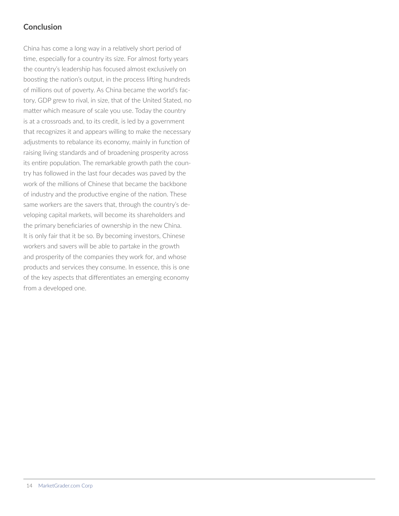# **Conclusion**

China has come a long way in a relatively short period of time, especially for a country its size. For almost forty years the country's leadership has focused almost exclusively on boosting the nation's output, in the process lifting hundreds of millions out of poverty. As China became the world's factory, GDP grew to rival, in size, that of the United Stated, no matter which measure of scale you use. Today the country is at a crossroads and, to its credit, is led by a government that recognizes it and appears willing to make the necessary adjustments to rebalance its economy, mainly in function of raising living standards and of broadening prosperity across its entire population. The remarkable growth path the country has followed in the last four decades was paved by the work of the millions of Chinese that became the backbone of industry and the productive engine of the nation. These same workers are the savers that, through the country's developing capital markets, will become its shareholders and the primary beneficiaries of ownership in the new China. It is only fair that it be so. By becoming investors, Chinese workers and savers will be able to partake in the growth and prosperity of the companies they work for, and whose products and services they consume. In essence, this is one of the key aspects that differentiates an emerging economy from a developed one.